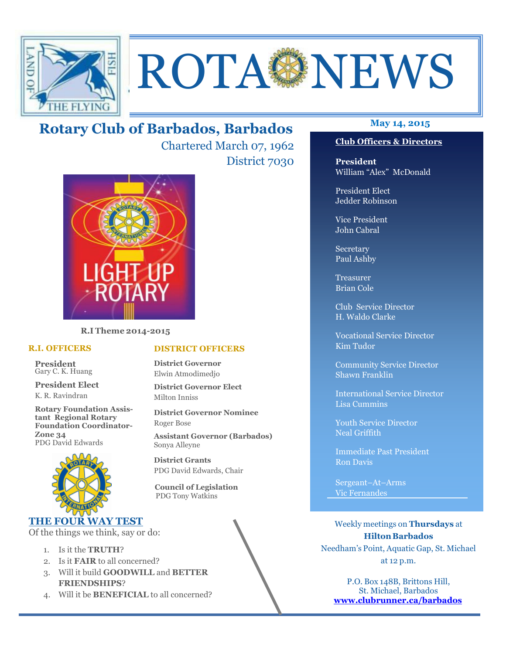

# ROTA NEWS

## **May 14, 2015 Rotary Club of Barbados, Barbados**

Chartered March 07, 1962 District 7030



**R.I Theme 2014-2015** 

#### **R.I. OFFICERS**

**President** Gary C. K. Huang

**President Elect** K. R. Ravindran

**Rotary Foundation Assistant Regional Rotary Foundation Coordinator-Zone 34**  PDG David Edwards



#### **THE FOUR WAY TEST**

Of the things we think, say or do:

- 1. Is it the **TRUTH**?
- 2. Is it **FAIR** to all concerned?
- 3. Will it build **GOODWILL** and **BETTER FRIENDSHIPS**?
- 4. Will it be **BENEFICIAL** to all concerned?

#### **Club Officers & Directors**

**President** William "Alex" McDonald

President Elect Jedder Robinson

Vice President John Cabral

Secretary Paul Ashby

Treasurer Brian Cole

Club Service Director H. Waldo Clarke

Vocational Service Director Kim Tudor

Community Service Director Shawn Franklin

International Service Director Lisa Cummins

Youth Service Director Neal Griffith

Immediate Past President Ron Davis

Sergeant–At–Arms Vic Fernandes

Weekly meetings on **Thursdays** at **Hilton Barbados** Needham's Point, Aquatic Gap, St. Michael at 12 p.m.

P.O. Box 148B, Brittons Hill, St. Michael, Barbados **www.clubrunner.ca/barbados**

#### **DISTRICT OFFICERS**

**District Governor** Elwin Atmodimedjo

**District Governor Elect** Milton Inniss

**District Governor Nominee**  Roger Bose

**Assistant Governor (Barbados)** Sonya Alleyne

**District Grants**  PDG David Edwards, Chair

 **Council of Legislation**  PDG Tony Watkins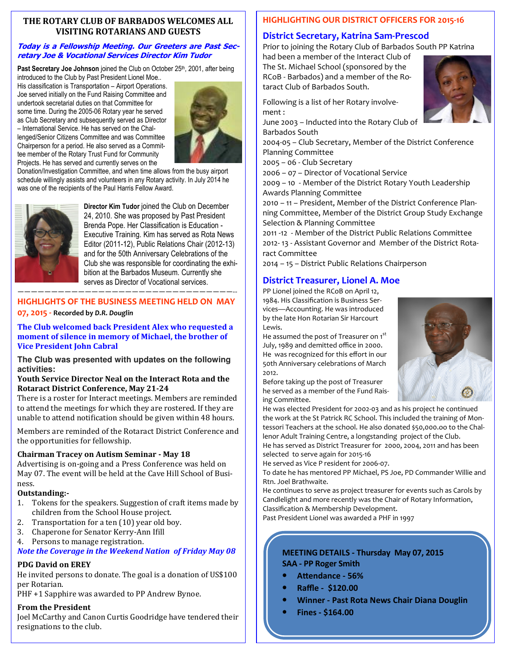#### **THE ROTARY CLUB OF BARBADOS WELCOMES ALL VISITING ROTARIANS AND GUESTS**

#### **Today is a Fellowship Meeting. Our Greeters are Past Secretary Joe & Vocational Services Director Kim Tudor**

Past Secretary Joe Johnson joined the Club on October 25<sup>th</sup>, 2001, after being

introduced to the Club by Past President Lionel Moe.. His classification is Transportation – Airport Operations. Joe served initially on the Fund Raising Committee and undertook secretarial duties on that Committee for some time. During the 2005-06 Rotary year he served as Club Secretary and subsequently served as Director – International Service. He has served on the Challenged/Senior Citizens Committee and was Committee Chairperson for a period. He also served as a Committee member of the Rotary Trust Fund for Community Projects. He has served and currently serves on the



Donation/Investigation Committee, and when time allows from the busy airport schedule willingly assists and volunteers in any Rotary activity. In July 2014 he was one of the recipients of the Paul Harris Fellow Award.



**Director Kim Tudor** joined the Club on December 24, 2010. She was proposed by Past President Brenda Pope. Her Classification is Education - Executive Training. Kim has served as Rota News Editor (2011-12), Public Relations Chair (2012-13) and for the 50th Anniversary Celebrations of the Club she was responsible for coordinating the exhibition at the Barbados Museum. Currently she serves as Director of Vocational services.

#### ————————————————————————————————-- **HIGHLIGHTS OF THE BUSINESS MEETING HELD ON MAY**

#### **07, 2015 - Recorded by** *D.R. Douglin*

The Club welcomed back President Alex who requested a moment of silence in memory of Michael, the brother of **Vice President Iohn Cabral** 

**The Club was presented with updates on the following activities:** 

#### **Youth Service Director Neal on the Interact Rota and the Rotaract District Conference, May 21-24**

There is a roster for Interact meetings. Members are reminded to attend the meetings for which they are rostered. If they are unable to attend notification should be given within 48 hours.

Members are reminded of the Rotaract District Conference and the opportunities for fellowship.

#### **Chairman Tracey on Autism Seminar - May 18**

Advertising is on-going and a Press Conference was held on May 07. The event will be held at the Cave Hill School of Business. 

#### **Outstanding:-**

- 1. Tokens for the speakers. Suggestion of craft items made by children from the School House project.
- 2. Transportation for a ten  $(10)$  year old boy.
- 3. Chaperone for Senator Kerry-Ann Ifill
- 4. Persons to manage registration.

### *Note the Coverage in the Weekend Nation of Friday May 08*

#### **PDG** David on EREY

He invited persons to donate. The goal is a donation of US\$100 per Rotarian. 

PHF +1 Sapphire was awarded to PP Andrew Bynoe.

## **From the President**

your medarthy and danon<br>resignations to the club. Joel McCarthy and Canon Curtis Goodridge have tendered their

## **HIGHLIGHTING OUR DISTRICT OFFICERS FOR 2015-16**

## **District Secretary, Katrina Sam-Prescod**

Prior to joining the Rotary Club of Barbados South PP Katrina

had been a member of the Interact Club of The St. Michael School (sponsored by the RCoB - Barbados) and a member of the Rotaract Club of Barbados South.

Following is a list of her Rotary involvement :

June 2003 – Inducted into the Rotary Club of Barbados South

2004-05 – Club Secretary, Member of the District Conference Planning Committee

2005 – 06 - Club Secretary

2006 – 07 – Director of Vocational Service

2009 – 10 - Member of the District Rotary Youth Leadership Awards Planning Committee

2010 – 11 – President, Member of the District Conference Planning Committee, Member of the District Group Study Exchange Selection & Planning Committee

2011 -12 - Member of the District Public Relations Committee 2012- 13 - Assistant Governor and Member of the District Rotaract Committee

2014 – 15 – District Public Relations Chairperson

## **District Treasurer, Lionel A. Moe**

PP Lionel joined the RCoB on April 12, 1984. His Classification is Business Services—Accounting. He was introduced by the late Hon Rotarian Sir Harcourt Lewis.

He assumed the post of Treasurer on 1st July, 1989 and demitted office in 2000. He was recognized for this effort in our 50th Anniversary celebrations of March 2012.

Before taking up the post of Treasurer he served as a member of the Fund Raising Committee.

He was elected President for 2002-03 and as his project he continued the work at the St Patrick RC School. This included the training of Montessori Teachers at the school. He also donated \$50,000.oo to the Challenor Adult Training Centre, a longstanding project of the Club. He has served as District Treasurer for 2000, 2004, 2011 and has been

selected to serve again for 2015-16 He served as Vice P resident for 2006-07.

To date he has mentored PP Michael, PS Joe, PD Commander Willie and Rtn. Joel Brathwaite.

He continues to serve as project treasurer for events such as Carols by Candlelight and more recently was the Chair of Rotary Information, Classification & Membership Development.

Past President Lionel was awarded a PHF in 1997

#### **MEETING DETAILS - Thursday May 07, 2015 SAA - PP Roger Smith**

- Attendance 56%
- **Raffle \$120.00**
- **Winner Past Rota News Chair Diana Douglin**
- **Fines \$164.00**



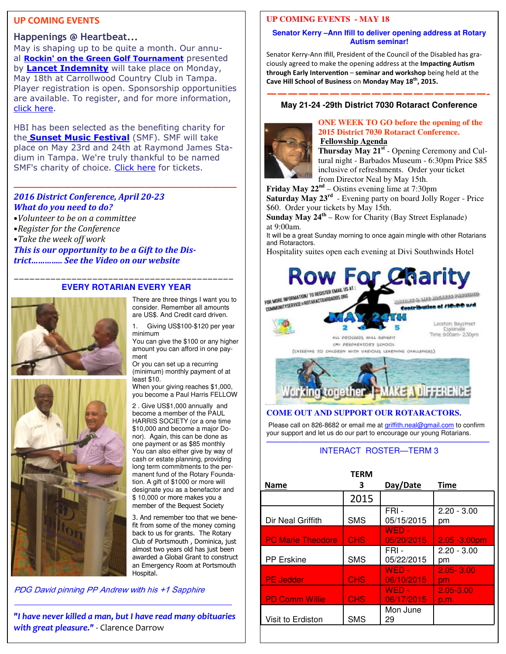#### **UP COMING EVENTS**

#### **Happenings @ Heartbeat...**

May is shaping up to be quite a month. Our annual **Rockin' on the Green Golf Tournament** presented by **Lancet Indemnity** will take place on Monday, May 18th at Carrollwood Country Club in Tampa. Player registration is open. Sponsorship opportunities are available. To register, and for more information, click here.

HBI has been selected as the benefiting charity for the **Sunset Music Festival** (SMF). SMF will take place on May 23rd and 24th at Raymond James Stadium in Tampa. We're truly thankful to be named SMF's charity of choice. Click here for tickets.

**———————————————————————————** 

#### *2016 District Conference, April 20-23 What do you need to do?*

- •*Volunteer to be on a committee*
- •*Register for the Conference*
- Take the week off work

This is our opportunity to be a Gift to the Dis*trict..............* See the Video on our website

#### *——————————————————————————————————————————*  **EVERY ROTARIAN EVERY YEAR**



There are three things I want you to consider. Remember all amounts are US\$. And Credit card driven.

1. Giving US\$100-\$120 per year minimum

You can give the \$100 or any higher amount you can afford in one payment

Or you can set up a recurring (minimum) monthly payment of at least \$10.

When your giving reaches \$1,000, you become a Paul Harris FELLOW

2 . Give US\$1,000 annually and become a member of the PAUL HARRIS SOCIETY (or a one time \$10,000 and become a major Donor). Again, this can be done as one payment or as \$85 monthly You can also either give by way of cash or estate planning, providing long term commitments to the permanent fund of the Rotary Foundation. A gift of \$1000 or more will designate you as a benefactor and \$ 10,000 or more makes you a member of the Bequest Society

3. And remember too that we benefit from some of the money coming back to us for grants. The Rotary Club of Portsmouth , Dominica, just almost two years old has just been awarded a Global Grant to construct an Emergency Room at Portsmouth Hospital.

PDG David pinning PP Andrew with his +1 Sapphire

 *with great pleasure."* - Clarence Darrow *"I have never killed a man, but I have read many obituaries* 

 $\frac{1}{\sqrt{2}}$  ,  $\frac{1}{\sqrt{2}}$  ,  $\frac{1}{\sqrt{2}}$  ,  $\frac{1}{\sqrt{2}}$  ,  $\frac{1}{\sqrt{2}}$  ,  $\frac{1}{\sqrt{2}}$  ,  $\frac{1}{\sqrt{2}}$  ,  $\frac{1}{\sqrt{2}}$  ,  $\frac{1}{\sqrt{2}}$  ,  $\frac{1}{\sqrt{2}}$  ,  $\frac{1}{\sqrt{2}}$  ,  $\frac{1}{\sqrt{2}}$  ,  $\frac{1}{\sqrt{2}}$  ,  $\frac{1}{\sqrt{2}}$  ,  $\frac{1}{\sqrt{2}}$ 

#### **UP COMING EVENTS - MAY 18**

#### **Senator Kerry –Ann Ifill to deliver opening address at Rotary Autism seminar!**

Senator Kerry-Ann Ifill, President of the Council of the Disabled has graciously agreed to make the opening address at the **Impacting Autism through Early Intervention** – seminar and workshop being held at the **Cave Hill School of Business** on **Monday May 18th, 2015.**

#### **—————————————————————- May 21-24 -29th District 7030 Rotaract Conference**



#### **ONE WEEK TO GO before the opening of the 2015 District 7030 Rotaract Conference. Fellowship Agenda**

**Thursday May 21st** - Opening Ceremony and Cultural night - Barbados Museum - 6:30pm Price \$85 inclusive of refreshments. Order your ticket from Director Neal by May 15th.

**Friday May 22nd** – Oistins evening lime at 7:30pm

**Saturday May 23rd** - Evening party on board Jolly Roger - Price \$60. Order your tickets by May 15th.

**Sunday May 24th** – Row for Charity (Bay Street Esplanade) at 9:00am.

It will be a great Sunday morning to once again mingle with other Rotarians and Rotaractors.

Hospitality suites open each evening at Divi Southwinds Hotel





#### **COME OUT AND SUPPORT OUR ROTARACTORS.**

Please call on 826-8682 or email me at griffith.neal@gmail.com to confirm your support and let us do our part to encourage our young Rotarians.

#### ——————————————————————————— INTERACT ROSTER—TERM 3

|                          | <b>TERM</b> |                       |                     |
|--------------------------|-------------|-----------------------|---------------------|
| <b>Name</b>              | з           | Day/Date              | Time                |
|                          | 2015        |                       |                     |
| Dir Neal Griffith        | <b>SMS</b>  | $FRI -$<br>05/15/2015 | $2.20 - 3.00$<br>рm |
| <b>PC Marie Theodore</b> | <b>CHS</b>  | $WED -$<br>05/20/2015 | $2.05 - 3.00$ pm    |
| <b>PP</b> Erskine        | <b>SMS</b>  | FRI-<br>05/22/2015    | $2.20 - 3.00$<br>pm |
| <b>PE Jedder</b>         | <b>CHS</b>  | $WED -$<br>06/10/2015 | $2.05 - 3.00$<br>pm |
| <b>PD Comm Willie</b>    | <b>CHS</b>  | $WED -$<br>06/17/2015 | 2.05-3.00<br>p.m.   |
| Visit to Erdiston        | <b>SMS</b>  | Mon June<br>29        |                     |